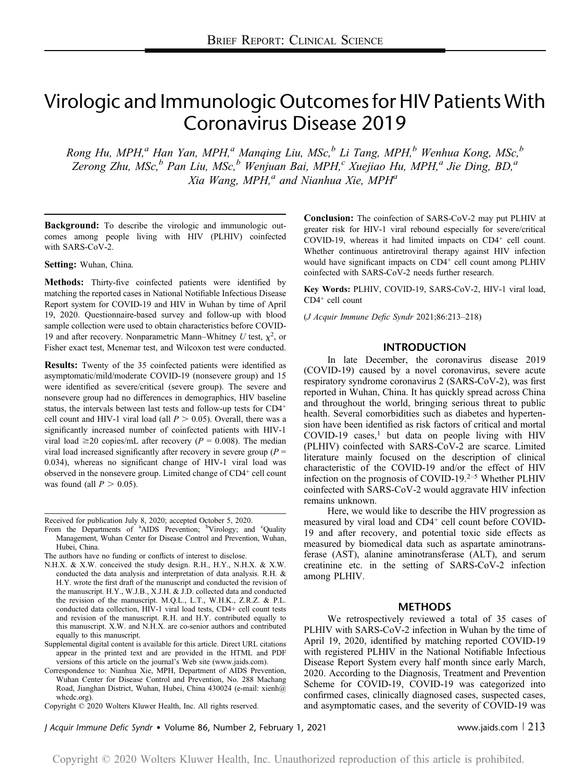# Virologic and Immunologic Outcomes for HIV Patients With Coronavirus Disease 2019

Rong Hu, MPH,<sup>a</sup> Han Yan, MPH,<sup>a</sup> Manqing Liu, MSc,<sup>b</sup> Li Tang, MPH,<sup>b</sup> Wenhua Kong, MSc,<sup>b</sup> Zerong Zhu, MSc, $^b$  Pan Liu, MSc, $^b$  Wenjuan Bai, MPH, $^c$  Xuejiao Hu, MPH, $^a$  Jie Ding, BD, $^a$ Xia Wang, MPH, $^a$  and Nianhua Xie, MPH $^a$ 

Background: To describe the virologic and immunologic outcomes among people living with HIV (PLHIV) coinfected with SARS-CoV-2.

Setting: Wuhan, China.

Methods: Thirty-five coinfected patients were identified by matching the reported cases in National Notifiable Infectious Disease Report system for COVID-19 and HIV in Wuhan by time of April 19, 2020. Questionnaire-based survey and follow-up with blood sample collection were used to obtain characteristics before COVID-19 and after recovery. Nonparametric Mann–Whitney U test,  $\chi^2$ , or Fisher exact test, Mcnemar test, and Wilcoxon test were conducted.

Results: Twenty of the 35 coinfected patients were identified as asymptomatic/mild/moderate COVID-19 (nonsevere group) and 15 were identified as severe/critical (severe group). The severe and nonsevere group had no differences in demographics, HIV baseline status, the intervals between last tests and follow-up tests for CD4<sup>+</sup> cell count and HIV-1 viral load (all  $P > 0.05$ ). Overall, there was a significantly increased number of coinfected patients with HIV-1 viral load  $\geq$ 20 copies/mL after recovery ( $P = 0.008$ ). The median viral load increased significantly after recovery in severe group ( $P =$ 0.034), whereas no significant change of HIV-1 viral load was observed in the nonsevere group. Limited change of CD4<sup>+</sup> cell count was found (all  $P > 0.05$ ).

Received for publication July 8, 2020; accepted October 5, 2020.

From the Departments of <sup>a</sup>AIDS Prevention; <sup>b</sup>Virology; and <sup>c</sup>Quality Management, Wuhan Center for Disease Control and Prevention, Wuhan, Hubei, China.

- N.H.X. & X.W. conceived the study design. R.H., H.Y., N.H.X. & X.W. conducted the data analysis and interpretation of data analysis. R.H. & H.Y. wrote the first draft of the manuscript and conducted the revision of the manuscript. H.Y., W.J.B., X.J.H. & J.D. collected data and conducted the revision of the manuscript. M.Q.L., L.T., W.H.K., Z.R.Z. & P.L. conducted data collection, HIV-1 viral load tests, CD4+ cell count tests and revision of the manuscript. R.H. and H.Y. contributed equally to this manuscript. X.W. and N.H.X. are co-senior authors and contributed equally to this manuscript.
- Supplemental digital content is available for this article. Direct URL citations appear in the printed text and are provided in the HTML and PDF versions of this article on the journal's Web site (www.jaids.com).
- Correspondence to: Nianhua Xie, MPH, Department of AIDS Prevention, Wuhan Center for Disease Control and Prevention, No. 288 Machang Road, Jianghan District, Wuhan, Hubei, China 430024 (e-mail: xienh@ whcdc.org).

Copyright © 2020 Wolters Kluwer Health, Inc. All rights reserved.

Conclusion: The coinfection of SARS-CoV-2 may put PLHIV at greater risk for HIV-1 viral rebound especially for severe/critical COVID-19, whereas it had limited impacts on CD4<sup>+</sup> cell count. Whether continuous antiretroviral therapy against HIV infection would have significant impacts on CD4<sup>+</sup> cell count among PLHIV coinfected with SARS-CoV-2 needs further research.

Key Words: PLHIV, COVID-19, SARS-CoV-2, HIV-1 viral load, CD4<sup>+</sup> cell count

(J Acquir Immune Defic Syndr 2021;86:213–218)

# INTRODUCTION

In late December, the coronavirus disease 2019 (COVID-19) caused by a novel coronavirus, severe acute respiratory syndrome coronavirus 2 (SARS-CoV-2), was first reported in Wuhan, China. It has quickly spread across China and throughout the world, bringing serious threat to public health. Several comorbidities such as diabetes and hypertension have been identified as risk factors of critical and mortal  $COVID-19$  cases,<sup>1</sup> but data on people living with HIV (PLHIV) coinfected with SARS-CoV-2 are scarce. Limited literature mainly focused on the description of clinical characteristic of the COVID-19 and/or the effect of HIV infection on the prognosis of COVID-19.<sup>2–5</sup> Whether PLHIV coinfected with SARS-CoV-2 would aggravate HIV infection remains unknown.

Here, we would like to describe the HIV progression as measured by viral load and CD4<sup>+</sup> cell count before COVID-19 and after recovery, and potential toxic side effects as measured by biomedical data such as aspartate aminotransferase (AST), alanine aminotransferase (ALT), and serum creatinine etc. in the setting of SARS-CoV-2 infection among PLHIV.

### METHODS

We retrospectively reviewed a total of 35 cases of PLHIV with SARS-CoV-2 infection in Wuhan by the time of April 19, 2020, identified by matching reported COVID-19 with registered PLHIV in the National Notifiable Infectious Disease Report System every half month since early March, 2020. According to the Diagnosis, Treatment and Prevention Scheme for COVID-19, COVID-19 was categorized into confirmed cases, clinically diagnosed cases, suspected cases, and asymptomatic cases, and the severity of COVID-19 was

J Acquir Immune Defic Syndr • Volume 86, Number 2, February 1, 2021 www.jaids.com  $\vert$  213

The authors have no funding or conflicts of interest to disclose.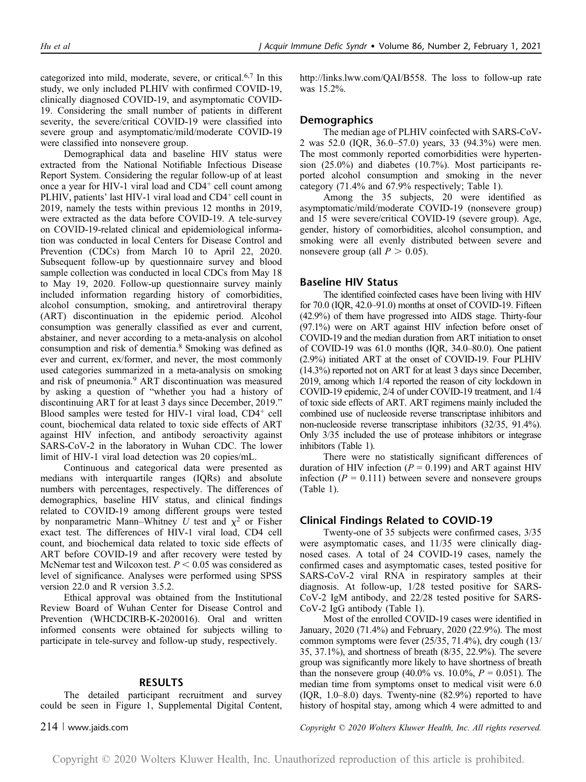categorized into mild, moderate, severe, or critical.6,7 In this study, we only included PLHIV with confirmed COVID-19, clinically diagnosed COVID-19, and asymptomatic COVID-19. Considering the small number of patients in different severity, the severe/critical COVID-19 were classified into severe group and asymptomatic/mild/moderate COVID-19 were classified into nonsevere group.

Demographical data and baseline HIV status were extracted from the National Notifiable Infectious Disease Report System. Considering the regular follow-up of at least once a year for HIV-1 viral load and  $CD4<sup>+</sup>$  cell count among PLHIV, patients' last HIV-1 viral load and CD4<sup>+</sup> cell count in 2019, namely the tests within previous 12 months in 2019, were extracted as the data before COVID-19. A tele-survey on COVID-19-related clinical and epidemiological information was conducted in local Centers for Disease Control and Prevention (CDCs) from March 10 to April 22, 2020. Subsequent follow-up by questionnaire survey and blood sample collection was conducted in local CDCs from May 18 to May 19, 2020. Follow-up questionnaire survey mainly included information regarding history of comorbidities, alcohol consumption, smoking, and antiretroviral therapy (ART) discontinuation in the epidemic period. Alcohol consumption was generally classified as ever and current, abstainer, and never according to a meta-analysis on alcohol consumption and risk of dementia.<sup>8</sup> Smoking was defined as ever and current, ex/former, and never, the most commonly used categories summarized in a meta-analysis on smoking and risk of pneumonia.<sup>9</sup> ART discontinuation was measured by asking a question of "whether you had a history of discontinuing ART for at least 3 days since December, 2019." Blood samples were tested for HIV-1 viral load, CD4<sup>+</sup> cell count, biochemical data related to toxic side effects of ART against HIV infection, and antibody seroactivity against SARS-CoV-2 in the laboratory in Wuhan CDC. The lower limit of HIV-1 viral load detection was 20 copies/mL.

Continuous and categorical data were presented as medians with interquartile ranges (IQRs) and absolute numbers with percentages, respectively. The differences of demographics, baseline HIV status, and clinical findings related to COVID-19 among different groups were tested by nonparametric Mann–Whitney U test and  $\chi^2$  or Fisher exact test. The differences of HIV-1 viral load, CD4 cell count, and biochemical data related to toxic side effects of ART before COVID-19 and after recovery were tested by McNemar test and Wilcoxon test.  $P < 0.05$  was considered as level of significance. Analyses were performed using SPSS version 22.0 and R version 3.5.2.

Ethical approval was obtained from the Institutional Review Board of Wuhan Center for Disease Control and Prevention (WHCDCIRB-K-2020016). Oral and written informed consents were obtained for subjects willing to participate in tele-survey and follow-up study, respectively.

# RESULTS

The detailed participant recruitment and survey could be seen in Figure 1, Supplemental Digital Content, http://links.lww.com/QAI/B558. The loss to follow-up rate was 15.2%.

# **Demographics**

The median age of PLHIV coinfected with SARS-CoV-2 was 52.0 (IQR, 36.0–57.0) years, 33 (94.3%) were men. The most commonly reported comorbidities were hypertension (25.0%) and diabetes (10.7%). Most participants reported alcohol consumption and smoking in the never category (71.4% and 67.9% respectively; Table 1).

Among the 35 subjects, 20 were identified as asymptomatic/mild/moderate COVID-19 (nonsevere group) and 15 were severe/critical COVID-19 (severe group). Age, gender, history of comorbidities, alcohol consumption, and smoking were all evenly distributed between severe and nonsevere group (all  $P > 0.05$ ).

# Baseline HIV Status

The identified coinfected cases have been living with HIV for 70.0 (IQR, 42.0–91.0) months at onset of COVID-19. Fifteen (42.9%) of them have progressed into AIDS stage. Thirty-four (97.1%) were on ART against HIV infection before onset of COVID-19 and the median duration from ART initiation to onset of COVID-19 was 61.0 months (IQR, 34.0–80.0). One patient (2.9%) initiated ART at the onset of COVID-19. Four PLHIV (14.3%) reported not on ART for at least 3 days since December, 2019, among which 1/4 reported the reason of city lockdown in COVID-19 epidemic, 2/4 of under COVID-19 treatment, and 1/4 of toxic side effects of ART. ART regimens mainly included the combined use of nucleoside reverse transcriptase inhibitors and non-nucleoside reverse transcriptase inhibitors (32/35, 91.4%). Only 3/35 included the use of protease inhibitors or integrase inhibitors (Table 1).

There were no statistically significant differences of duration of HIV infection ( $P = 0.199$ ) and ART against HIV infection ( $P = 0.111$ ) between severe and nonsevere groups (Table 1).

### Clinical Findings Related to COVID-19

Twenty-one of 35 subjects were confirmed cases, 3/35 were asymptomatic cases, and 11/35 were clinically diagnosed cases. A total of 24 COVID-19 cases, namely the confirmed cases and asymptomatic cases, tested positive for SARS-CoV-2 viral RNA in respiratory samples at their diagnosis. At follow-up, 1/28 tested positive for SARS-CoV-2 IgM antibody, and 22/28 tested positive for SARS-CoV-2 IgG antibody (Table 1).

Most of the enrolled COVID-19 cases were identified in January, 2020 (71.4%) and February, 2020 (22.9%). The most common symptoms were fever (25/35, 71.4%), dry cough (13/ 35, 37.1%), and shortness of breath (8/35, 22.9%). The severe group was significantly more likely to have shortness of breath than the nonsevere group (40.0% vs. 10.0%,  $P = 0.051$ ). The median time from symptoms onset to medical visit were 6.0 (IQR, 1.0–8.0) days. Twenty-nine (82.9%) reported to have history of hospital stay, among which 4 were admitted to and

214 <sup>|</sup> www.jaids.com Copyright © 2020 Wolters Kluwer Health, Inc. All rights reserved.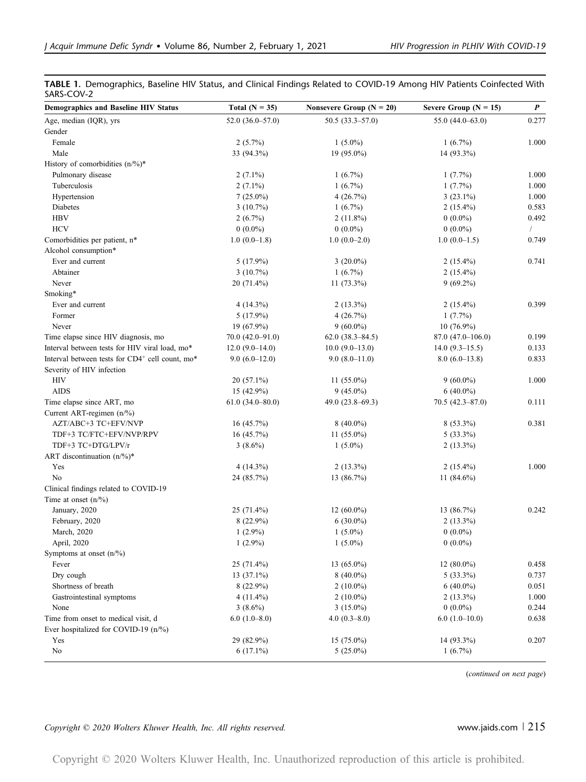|            | TABLE 1. Demographics, Baseline HIV Status, and Clinical Findings Related to COVID-19 Among HIV Patients Coinfected With |  |  |  |  |
|------------|--------------------------------------------------------------------------------------------------------------------------|--|--|--|--|
| SARS-COV-2 |                                                                                                                          |  |  |  |  |

| 55.0 $(44.0 - 63.0)$<br>Age, median (IQR), yrs<br>$52.0(36.0-57.0)$<br>$50.5(33.3 - 57.0)$<br>Gender<br>Female<br>$2(5.7\%)$<br>$1(5.0\%)$<br>$1(6.7\%)$<br>Male<br>33 (94.3%)<br>19 (95.0%)<br>14 (93.3%)<br>History of comorbidities (n/%)*<br>Pulmonary disease<br>$2(7.1\%)$<br>$1(6.7\%)$<br>$1(7.7\%)$<br>Tuberculosis<br>$2(7.1\%)$<br>$1(6.7\%)$<br>$1(7.7\%)$<br>Hypertension<br>$7(25.0\%)$<br>4(26.7%)<br>$3(23.1\%)$<br>Diabetes<br>$2(15.4\%)$<br>$3(10.7\%)$<br>$1(6.7\%)$<br><b>HBV</b><br>$2(6.7\%)$<br>$2(11.8\%)$<br>$0(0.0\%)$<br><b>HCV</b><br>$0(0.0\%)$<br>$0(0.0\%)$<br>$0(0.0\%)$<br>$1.0(0.0-1.5)$<br>Comorbidities per patient, n*<br>$1.0(0.0-1.8)$<br>$1.0(0.0-2.0)$<br>Alcohol consumption*<br>Ever and current<br>$5(17.9\%)$<br>$3(20.0\%)$<br>$2(15.4\%)$<br>$1(6.7\%)$<br>Abtainer<br>$3(10.7\%)$<br>$2(15.4\%)$<br>$9(69.2\%)$<br>Never<br>20 (71.4%)<br>$11(73.3\%)$<br>Smoking*<br>Ever and current<br>$4(14.3\%)$<br>$2(13.3\%)$<br>$2(15.4\%)$<br>Former<br>$5(17.9\%)$<br>4(26.7%)<br>1(7.7%)<br>Never<br>$9(60.0\%)$<br>19 (67.9%)<br>$10(76.9\%)$<br>87.0 (47.0-106.0)<br>Time elapse since HIV diagnosis, mo<br>$70.0 (42.0 - 91.0)$<br>$62.0(38.3 - 84.5)$<br>Interval between tests for HIV viral load, mo*<br>12.0 $(9.0-14.0)$<br>$10.0 (9.0 - 13.0)$<br>$14.0(9.3-15.5)$<br>Interval between tests for CD4+ cell count, mo*<br>$9.0(6.0-12.0)$<br>$9.0(8.0-11.0)$<br>$8.0(6.0-13.8)$<br>Severity of HIV infection<br>HIV<br>$20(57.1\%)$<br>$9(60.0\%)$<br>11 $(55.0\%)$<br><b>AIDS</b><br>15 (42.9%)<br>$9(45.0\%)$<br>$6(40.0\%)$<br>Time elapse since ART, mo<br>$61.0(34.0 - 80.0)$<br>49.0 $(23.8 - 69.3)$<br>$70.5(42.3 - 87.0)$<br>Current ART-regimen $(n/\%)$<br>AZT/ABC+3 TC+EFV/NVP<br>16(45.7%)<br>$8(40.0\%)$<br>$8(53.3\%)$<br>$5(33.3\%)$<br>TDF+3 TC/FTC+EFV/NVP/RPV<br>16(45.7%)<br>11 $(55.0\%)$<br>TDF+3 TC+DTG/LPV/r<br>$3(8.6\%)$<br>$1(5.0\%)$<br>$2(13.3\%)$<br>ART discontinuation $(n\frac{9}{6})^*$ | 0.277<br>1.000<br>1.000<br>1.000<br>0.583<br>0.492<br>$\sqrt{2}$ |
|------------------------------------------------------------------------------------------------------------------------------------------------------------------------------------------------------------------------------------------------------------------------------------------------------------------------------------------------------------------------------------------------------------------------------------------------------------------------------------------------------------------------------------------------------------------------------------------------------------------------------------------------------------------------------------------------------------------------------------------------------------------------------------------------------------------------------------------------------------------------------------------------------------------------------------------------------------------------------------------------------------------------------------------------------------------------------------------------------------------------------------------------------------------------------------------------------------------------------------------------------------------------------------------------------------------------------------------------------------------------------------------------------------------------------------------------------------------------------------------------------------------------------------------------------------------------------------------------------------------------------------------------------------------------------------------------------------------------------------------------------------------------------------------------------------------------------------------------------------------------------------------------------------------------------------------------------------------------------|------------------------------------------------------------------|
|                                                                                                                                                                                                                                                                                                                                                                                                                                                                                                                                                                                                                                                                                                                                                                                                                                                                                                                                                                                                                                                                                                                                                                                                                                                                                                                                                                                                                                                                                                                                                                                                                                                                                                                                                                                                                                                                                                                                                                              | 1.000                                                            |
|                                                                                                                                                                                                                                                                                                                                                                                                                                                                                                                                                                                                                                                                                                                                                                                                                                                                                                                                                                                                                                                                                                                                                                                                                                                                                                                                                                                                                                                                                                                                                                                                                                                                                                                                                                                                                                                                                                                                                                              |                                                                  |
|                                                                                                                                                                                                                                                                                                                                                                                                                                                                                                                                                                                                                                                                                                                                                                                                                                                                                                                                                                                                                                                                                                                                                                                                                                                                                                                                                                                                                                                                                                                                                                                                                                                                                                                                                                                                                                                                                                                                                                              |                                                                  |
|                                                                                                                                                                                                                                                                                                                                                                                                                                                                                                                                                                                                                                                                                                                                                                                                                                                                                                                                                                                                                                                                                                                                                                                                                                                                                                                                                                                                                                                                                                                                                                                                                                                                                                                                                                                                                                                                                                                                                                              |                                                                  |
|                                                                                                                                                                                                                                                                                                                                                                                                                                                                                                                                                                                                                                                                                                                                                                                                                                                                                                                                                                                                                                                                                                                                                                                                                                                                                                                                                                                                                                                                                                                                                                                                                                                                                                                                                                                                                                                                                                                                                                              |                                                                  |
|                                                                                                                                                                                                                                                                                                                                                                                                                                                                                                                                                                                                                                                                                                                                                                                                                                                                                                                                                                                                                                                                                                                                                                                                                                                                                                                                                                                                                                                                                                                                                                                                                                                                                                                                                                                                                                                                                                                                                                              |                                                                  |
|                                                                                                                                                                                                                                                                                                                                                                                                                                                                                                                                                                                                                                                                                                                                                                                                                                                                                                                                                                                                                                                                                                                                                                                                                                                                                                                                                                                                                                                                                                                                                                                                                                                                                                                                                                                                                                                                                                                                                                              |                                                                  |
|                                                                                                                                                                                                                                                                                                                                                                                                                                                                                                                                                                                                                                                                                                                                                                                                                                                                                                                                                                                                                                                                                                                                                                                                                                                                                                                                                                                                                                                                                                                                                                                                                                                                                                                                                                                                                                                                                                                                                                              |                                                                  |
|                                                                                                                                                                                                                                                                                                                                                                                                                                                                                                                                                                                                                                                                                                                                                                                                                                                                                                                                                                                                                                                                                                                                                                                                                                                                                                                                                                                                                                                                                                                                                                                                                                                                                                                                                                                                                                                                                                                                                                              |                                                                  |
|                                                                                                                                                                                                                                                                                                                                                                                                                                                                                                                                                                                                                                                                                                                                                                                                                                                                                                                                                                                                                                                                                                                                                                                                                                                                                                                                                                                                                                                                                                                                                                                                                                                                                                                                                                                                                                                                                                                                                                              |                                                                  |
|                                                                                                                                                                                                                                                                                                                                                                                                                                                                                                                                                                                                                                                                                                                                                                                                                                                                                                                                                                                                                                                                                                                                                                                                                                                                                                                                                                                                                                                                                                                                                                                                                                                                                                                                                                                                                                                                                                                                                                              |                                                                  |
|                                                                                                                                                                                                                                                                                                                                                                                                                                                                                                                                                                                                                                                                                                                                                                                                                                                                                                                                                                                                                                                                                                                                                                                                                                                                                                                                                                                                                                                                                                                                                                                                                                                                                                                                                                                                                                                                                                                                                                              | 0.749                                                            |
|                                                                                                                                                                                                                                                                                                                                                                                                                                                                                                                                                                                                                                                                                                                                                                                                                                                                                                                                                                                                                                                                                                                                                                                                                                                                                                                                                                                                                                                                                                                                                                                                                                                                                                                                                                                                                                                                                                                                                                              |                                                                  |
|                                                                                                                                                                                                                                                                                                                                                                                                                                                                                                                                                                                                                                                                                                                                                                                                                                                                                                                                                                                                                                                                                                                                                                                                                                                                                                                                                                                                                                                                                                                                                                                                                                                                                                                                                                                                                                                                                                                                                                              | 0.741                                                            |
|                                                                                                                                                                                                                                                                                                                                                                                                                                                                                                                                                                                                                                                                                                                                                                                                                                                                                                                                                                                                                                                                                                                                                                                                                                                                                                                                                                                                                                                                                                                                                                                                                                                                                                                                                                                                                                                                                                                                                                              |                                                                  |
|                                                                                                                                                                                                                                                                                                                                                                                                                                                                                                                                                                                                                                                                                                                                                                                                                                                                                                                                                                                                                                                                                                                                                                                                                                                                                                                                                                                                                                                                                                                                                                                                                                                                                                                                                                                                                                                                                                                                                                              |                                                                  |
|                                                                                                                                                                                                                                                                                                                                                                                                                                                                                                                                                                                                                                                                                                                                                                                                                                                                                                                                                                                                                                                                                                                                                                                                                                                                                                                                                                                                                                                                                                                                                                                                                                                                                                                                                                                                                                                                                                                                                                              |                                                                  |
|                                                                                                                                                                                                                                                                                                                                                                                                                                                                                                                                                                                                                                                                                                                                                                                                                                                                                                                                                                                                                                                                                                                                                                                                                                                                                                                                                                                                                                                                                                                                                                                                                                                                                                                                                                                                                                                                                                                                                                              | 0.399                                                            |
|                                                                                                                                                                                                                                                                                                                                                                                                                                                                                                                                                                                                                                                                                                                                                                                                                                                                                                                                                                                                                                                                                                                                                                                                                                                                                                                                                                                                                                                                                                                                                                                                                                                                                                                                                                                                                                                                                                                                                                              |                                                                  |
|                                                                                                                                                                                                                                                                                                                                                                                                                                                                                                                                                                                                                                                                                                                                                                                                                                                                                                                                                                                                                                                                                                                                                                                                                                                                                                                                                                                                                                                                                                                                                                                                                                                                                                                                                                                                                                                                                                                                                                              |                                                                  |
|                                                                                                                                                                                                                                                                                                                                                                                                                                                                                                                                                                                                                                                                                                                                                                                                                                                                                                                                                                                                                                                                                                                                                                                                                                                                                                                                                                                                                                                                                                                                                                                                                                                                                                                                                                                                                                                                                                                                                                              | 0.199                                                            |
|                                                                                                                                                                                                                                                                                                                                                                                                                                                                                                                                                                                                                                                                                                                                                                                                                                                                                                                                                                                                                                                                                                                                                                                                                                                                                                                                                                                                                                                                                                                                                                                                                                                                                                                                                                                                                                                                                                                                                                              | 0.133                                                            |
|                                                                                                                                                                                                                                                                                                                                                                                                                                                                                                                                                                                                                                                                                                                                                                                                                                                                                                                                                                                                                                                                                                                                                                                                                                                                                                                                                                                                                                                                                                                                                                                                                                                                                                                                                                                                                                                                                                                                                                              | 0.833                                                            |
|                                                                                                                                                                                                                                                                                                                                                                                                                                                                                                                                                                                                                                                                                                                                                                                                                                                                                                                                                                                                                                                                                                                                                                                                                                                                                                                                                                                                                                                                                                                                                                                                                                                                                                                                                                                                                                                                                                                                                                              |                                                                  |
|                                                                                                                                                                                                                                                                                                                                                                                                                                                                                                                                                                                                                                                                                                                                                                                                                                                                                                                                                                                                                                                                                                                                                                                                                                                                                                                                                                                                                                                                                                                                                                                                                                                                                                                                                                                                                                                                                                                                                                              | 1.000                                                            |
|                                                                                                                                                                                                                                                                                                                                                                                                                                                                                                                                                                                                                                                                                                                                                                                                                                                                                                                                                                                                                                                                                                                                                                                                                                                                                                                                                                                                                                                                                                                                                                                                                                                                                                                                                                                                                                                                                                                                                                              |                                                                  |
|                                                                                                                                                                                                                                                                                                                                                                                                                                                                                                                                                                                                                                                                                                                                                                                                                                                                                                                                                                                                                                                                                                                                                                                                                                                                                                                                                                                                                                                                                                                                                                                                                                                                                                                                                                                                                                                                                                                                                                              | 0.111                                                            |
|                                                                                                                                                                                                                                                                                                                                                                                                                                                                                                                                                                                                                                                                                                                                                                                                                                                                                                                                                                                                                                                                                                                                                                                                                                                                                                                                                                                                                                                                                                                                                                                                                                                                                                                                                                                                                                                                                                                                                                              |                                                                  |
|                                                                                                                                                                                                                                                                                                                                                                                                                                                                                                                                                                                                                                                                                                                                                                                                                                                                                                                                                                                                                                                                                                                                                                                                                                                                                                                                                                                                                                                                                                                                                                                                                                                                                                                                                                                                                                                                                                                                                                              | 0.381                                                            |
|                                                                                                                                                                                                                                                                                                                                                                                                                                                                                                                                                                                                                                                                                                                                                                                                                                                                                                                                                                                                                                                                                                                                                                                                                                                                                                                                                                                                                                                                                                                                                                                                                                                                                                                                                                                                                                                                                                                                                                              |                                                                  |
|                                                                                                                                                                                                                                                                                                                                                                                                                                                                                                                                                                                                                                                                                                                                                                                                                                                                                                                                                                                                                                                                                                                                                                                                                                                                                                                                                                                                                                                                                                                                                                                                                                                                                                                                                                                                                                                                                                                                                                              |                                                                  |
|                                                                                                                                                                                                                                                                                                                                                                                                                                                                                                                                                                                                                                                                                                                                                                                                                                                                                                                                                                                                                                                                                                                                                                                                                                                                                                                                                                                                                                                                                                                                                                                                                                                                                                                                                                                                                                                                                                                                                                              |                                                                  |
| Yes<br>$4(14.3\%)$<br>$2(13.3\%)$<br>$2(15.4\%)$                                                                                                                                                                                                                                                                                                                                                                                                                                                                                                                                                                                                                                                                                                                                                                                                                                                                                                                                                                                                                                                                                                                                                                                                                                                                                                                                                                                                                                                                                                                                                                                                                                                                                                                                                                                                                                                                                                                             | 1.000                                                            |
| No<br>24 (85.7%)<br>13 (86.7%)<br>11 $(84.6\%)$                                                                                                                                                                                                                                                                                                                                                                                                                                                                                                                                                                                                                                                                                                                                                                                                                                                                                                                                                                                                                                                                                                                                                                                                                                                                                                                                                                                                                                                                                                                                                                                                                                                                                                                                                                                                                                                                                                                              |                                                                  |
| Clinical findings related to COVID-19                                                                                                                                                                                                                                                                                                                                                                                                                                                                                                                                                                                                                                                                                                                                                                                                                                                                                                                                                                                                                                                                                                                                                                                                                                                                                                                                                                                                                                                                                                                                                                                                                                                                                                                                                                                                                                                                                                                                        |                                                                  |
| Time at onset $(n\frac{9}{6})$                                                                                                                                                                                                                                                                                                                                                                                                                                                                                                                                                                                                                                                                                                                                                                                                                                                                                                                                                                                                                                                                                                                                                                                                                                                                                                                                                                                                                                                                                                                                                                                                                                                                                                                                                                                                                                                                                                                                               |                                                                  |
| January, 2020<br>25 (71.4%)<br>12 $(60.0\%)$<br>13 (86.7%)                                                                                                                                                                                                                                                                                                                                                                                                                                                                                                                                                                                                                                                                                                                                                                                                                                                                                                                                                                                                                                                                                                                                                                                                                                                                                                                                                                                                                                                                                                                                                                                                                                                                                                                                                                                                                                                                                                                   | 0.242                                                            |
| 8 (22.9%)<br>February, 2020<br>$6(30.0\%)$<br>$2(13.3\%)$                                                                                                                                                                                                                                                                                                                                                                                                                                                                                                                                                                                                                                                                                                                                                                                                                                                                                                                                                                                                                                                                                                                                                                                                                                                                                                                                                                                                                                                                                                                                                                                                                                                                                                                                                                                                                                                                                                                    |                                                                  |
| $1(2.9\%)$<br>March, 2020<br>$1(5.0\%)$<br>$0(0.0\%)$                                                                                                                                                                                                                                                                                                                                                                                                                                                                                                                                                                                                                                                                                                                                                                                                                                                                                                                                                                                                                                                                                                                                                                                                                                                                                                                                                                                                                                                                                                                                                                                                                                                                                                                                                                                                                                                                                                                        |                                                                  |
| $1(2.9\%)$<br>$0(0.0\%)$<br>April, 2020<br>$1(5.0\%)$                                                                                                                                                                                                                                                                                                                                                                                                                                                                                                                                                                                                                                                                                                                                                                                                                                                                                                                                                                                                                                                                                                                                                                                                                                                                                                                                                                                                                                                                                                                                                                                                                                                                                                                                                                                                                                                                                                                        |                                                                  |
| Symptoms at onset $(n\frac{9}{6})$                                                                                                                                                                                                                                                                                                                                                                                                                                                                                                                                                                                                                                                                                                                                                                                                                                                                                                                                                                                                                                                                                                                                                                                                                                                                                                                                                                                                                                                                                                                                                                                                                                                                                                                                                                                                                                                                                                                                           |                                                                  |
| Fever<br>25 (71.4%)<br>13 (65.0%)<br>12 $(80.0\%)$                                                                                                                                                                                                                                                                                                                                                                                                                                                                                                                                                                                                                                                                                                                                                                                                                                                                                                                                                                                                                                                                                                                                                                                                                                                                                                                                                                                                                                                                                                                                                                                                                                                                                                                                                                                                                                                                                                                           | 0.458                                                            |
| Dry cough<br>$13(37.1\%)$<br>$8(40.0\%)$<br>$5(33.3\%)$                                                                                                                                                                                                                                                                                                                                                                                                                                                                                                                                                                                                                                                                                                                                                                                                                                                                                                                                                                                                                                                                                                                                                                                                                                                                                                                                                                                                                                                                                                                                                                                                                                                                                                                                                                                                                                                                                                                      | 0.737                                                            |
| Shortness of breath<br>$8(22.9\%)$<br>$2(10.0\%)$<br>$6(40.0\%)$                                                                                                                                                                                                                                                                                                                                                                                                                                                                                                                                                                                                                                                                                                                                                                                                                                                                                                                                                                                                                                                                                                                                                                                                                                                                                                                                                                                                                                                                                                                                                                                                                                                                                                                                                                                                                                                                                                             | 0.051                                                            |
| Gastrointestinal symptoms<br>$4(11.4\%)$<br>$2(10.0\%)$<br>$2(13.3\%)$                                                                                                                                                                                                                                                                                                                                                                                                                                                                                                                                                                                                                                                                                                                                                                                                                                                                                                                                                                                                                                                                                                                                                                                                                                                                                                                                                                                                                                                                                                                                                                                                                                                                                                                                                                                                                                                                                                       | 1.000                                                            |
| $0(0.0\%)$<br>None<br>$3(8.6\%)$<br>$3(15.0\%)$                                                                                                                                                                                                                                                                                                                                                                                                                                                                                                                                                                                                                                                                                                                                                                                                                                                                                                                                                                                                                                                                                                                                                                                                                                                                                                                                                                                                                                                                                                                                                                                                                                                                                                                                                                                                                                                                                                                              | 0.244                                                            |
| Time from onset to medical visit, d<br>$6.0(1.0-8.0)$<br>$4.0(0.3-8.0)$<br>$6.0(1.0-10.0)$                                                                                                                                                                                                                                                                                                                                                                                                                                                                                                                                                                                                                                                                                                                                                                                                                                                                                                                                                                                                                                                                                                                                                                                                                                                                                                                                                                                                                                                                                                                                                                                                                                                                                                                                                                                                                                                                                   | 0.638                                                            |
| Ever hospitalized for COVID-19 (n/%)                                                                                                                                                                                                                                                                                                                                                                                                                                                                                                                                                                                                                                                                                                                                                                                                                                                                                                                                                                                                                                                                                                                                                                                                                                                                                                                                                                                                                                                                                                                                                                                                                                                                                                                                                                                                                                                                                                                                         |                                                                  |
| Yes<br>29 (82.9%)<br>$15(75.0\%)$<br>14 (93.3%)                                                                                                                                                                                                                                                                                                                                                                                                                                                                                                                                                                                                                                                                                                                                                                                                                                                                                                                                                                                                                                                                                                                                                                                                                                                                                                                                                                                                                                                                                                                                                                                                                                                                                                                                                                                                                                                                                                                              |                                                                  |
| $\rm No$<br>$6(17.1\%)$<br>$5(25.0\%)$<br>$1(6.7\%)$                                                                                                                                                                                                                                                                                                                                                                                                                                                                                                                                                                                                                                                                                                                                                                                                                                                                                                                                                                                                                                                                                                                                                                                                                                                                                                                                                                                                                                                                                                                                                                                                                                                                                                                                                                                                                                                                                                                         | 0.207                                                            |

(continued on next page)

# Copyright © 2020 Wolters Kluwer Health, Inc. All rights reserved. www.jaids.com | 215

Copyright © 2020 Wolters Kluwer Health, Inc. Unauthorized reproduction of this article is prohibited.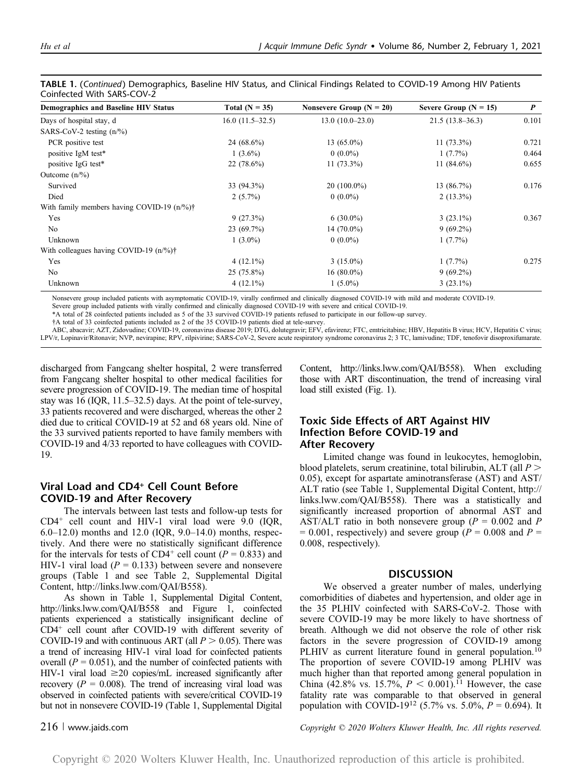| <b>Demographics and Baseline HIV Status</b>        | Total $(N = 35)$  | Nonsevere Group $(N = 20)$ | Severe Group ( $N = 15$ ) | $\boldsymbol{P}$ |  |
|----------------------------------------------------|-------------------|----------------------------|---------------------------|------------------|--|
| Days of hospital stay, d                           | $16.0(11.5-32.5)$ | $13.0(10.0-23.0)$          | $21.5(13.8-36.3)$         | 0.101            |  |
| SARS-CoV-2 testing $(n/\%)$                        |                   |                            |                           |                  |  |
| PCR positive test                                  | 24 $(68.6\%)$     | $13(65.0\%)$               | $11(73.3\%)$              | 0.721            |  |
| positive IgM test*                                 | $1(3.6\%)$        | $0(0.0\%)$                 | $1(7.7\%)$                | 0.464            |  |
| positive IgG test*                                 | $22(78.6\%)$      | $11(73.3\%)$               | 11 $(84.6\%)$             | 0.655            |  |
| Outcome $(n/\%)$                                   |                   |                            |                           |                  |  |
| Survived                                           | 33 (94.3%)        | $20(100.0\%)$              | 13(86.7%)                 | 0.176            |  |
| Died                                               | $2(5.7\%)$        | $0(0.0\%)$                 | $2(13.3\%)$               |                  |  |
| With family members having COVID-19 $(n\%)\dagger$ |                   |                            |                           |                  |  |
| Yes                                                | 9(27.3%)          | $6(30.0\%)$                | $3(23.1\%)$               | 0.367            |  |
| No                                                 | $23(69.7\%)$      | 14 $(70.0\%)$              | $9(69.2\%)$               |                  |  |
| Unknown                                            | $1(3.0\%)$        | $0(0.0\%)$                 | $1(7.7\%)$                |                  |  |
| With colleagues having COVID-19 $(n\%)\dagger$     |                   |                            |                           |                  |  |
| Yes                                                | $4(12.1\%)$       | $3(15.0\%)$                | $1(7.7\%)$                | 0.275            |  |
| No                                                 | $25(75.8\%)$      | $16(80.0\%)$               | $9(69.2\%)$               |                  |  |
| Unknown                                            | $4(12.1\%)$       | $1(5.0\%)$                 | $3(23.1\%)$               |                  |  |

TABLE 1. (Continued) Demographics, Baseline HIV Status, and Clinical Findings Related to COVID-19 Among HIV Patients Coinfected With SARS-COV-2

Nonsevere group included patients with asymptomatic COVID-19, virally confirmed and clinically diagnosed COVID-19 with mild and moderate COVID-19.

Severe group included patients with virally confirmed and clinically diagnosed COVID-19 with severe and critical COVID-19.

\*A total of 28 coinfected patients included as 5 of the 33 survived COVID-19 patients refused to participate in our follow-up survey.

†A total of 33 coinfected patients included as 2 of the 35 COVID-19 patients died at tele-survey.

ABC, abacavir; AZT, Zidovudine; COVID-19, coronavirus disease 2019; DTG, dolutegravir; EFV, efavirenz; FTC, emtricitabine; HBV, Hepatitis B virus; HCV, Hepatitis C virus; LPV/r, Lopinavir/Ritonavir; NVP, nevirapine; RPV, rilpivirine; SARS-CoV-2, Severe acute respiratory syndrome coronavirus 2; 3 TC, lamivudine; TDF, tenofovir disoproxifumarate.

discharged from Fangcang shelter hospital, 2 were transferred from Fangcang shelter hospital to other medical facilities for severe progression of COVID-19. The median time of hospital stay was 16 (IQR, 11.5–32.5) days. At the point of tele-survey, 33 patients recovered and were discharged, whereas the other 2 died due to critical COVID-19 at 52 and 68 years old. Nine of the 33 survived patients reported to have family members with COVID-19 and 4/33 reported to have colleagues with COVID-19.

# Viral Load and CD4+ Cell Count Before COVID-19 and After Recovery

The intervals between last tests and follow-up tests for  $CD4^+$  cell count and HIV-1 viral load were 9.0 (IQR, 6.0–12.0) months and 12.0 (IQR,  $9.0-14.0$ ) months, respectively. And there were no statistically significant difference for the intervals for tests of CD4<sup>+</sup> cell count ( $P = 0.833$ ) and HIV-1 viral load ( $P = 0.133$ ) between severe and nonsevere groups (Table 1 and see Table 2, Supplemental Digital Content, http://links.lww.com/QAI/B558).

As shown in Table 1, Supplemental Digital Content, http://links.lww.com/QAI/B558 and Figure 1, coinfected patients experienced a statistically insignificant decline of CD4+ cell count after COVID-19 with different severity of COVID-19 and with continuous ART (all  $P > 0.05$ ). There was a trend of increasing HIV-1 viral load for coinfected patients overall ( $P = 0.051$ ), and the number of coinfected patients with HIV-1 viral load  $\geq$ 20 copies/mL increased significantly after recovery ( $P = 0.008$ ). The trend of increasing viral load was observed in coinfected patients with severe/critical COVID-19 but not in nonsevere COVID-19 (Table 1, Supplemental Digital

Content, http://links.lww.com/QAI/B558). When excluding those with ART discontinuation, the trend of increasing viral load still existed (Fig. 1).

# Toxic Side Effects of ART Against HIV Infection Before COVID-19 and After Recovery

Limited change was found in leukocytes, hemoglobin, blood platelets, serum creatinine, total bilirubin, ALT (all  $P >$ 0.05), except for aspartate aminotransferase (AST) and AST/ ALT ratio (see Table 1, Supplemental Digital Content, http:// links.lww.com/QAI/B558). There was a statistically and significantly increased proportion of abnormal AST and AST/ALT ratio in both nonsevere group ( $P = 0.002$  and P  $= 0.001$ , respectively) and severe group ( $P = 0.008$  and  $P =$ 0.008, respectively).

# **DISCUSSION**

We observed a greater number of males, underlying comorbidities of diabetes and hypertension, and older age in the 35 PLHIV coinfected with SARS-CoV-2. Those with severe COVID-19 may be more likely to have shortness of breath. Although we did not observe the role of other risk factors in the severe progression of COVID-19 among PLHIV as current literature found in general population.<sup>10</sup> The proportion of severe COVID-19 among PLHIV was much higher than that reported among general population in China (42.8% vs. 15.7%,  $P < 0.001$ ).<sup>11</sup> However, the case fatality rate was comparable to that observed in general population with COVID-19<sup>12</sup> (5.7% vs. 5.0%,  $P = 0.694$ ). It

216 <sup>|</sup> www.jaids.com Copyright © 2020 Wolters Kluwer Health, Inc. All rights reserved.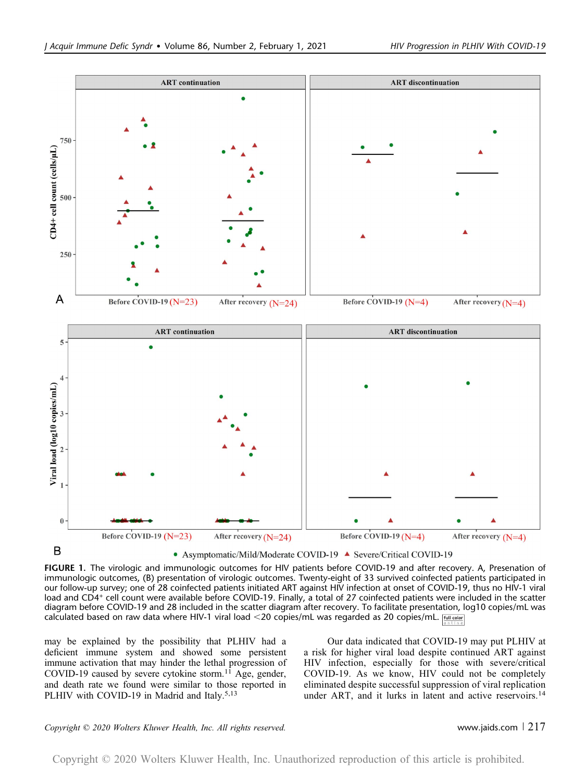

FIGURE 1. The virologic and immunologic outcomes for HIV patients before COVID-19 and after recovery. A, Presenation of immunologic outcomes, (B) presentation of virologic outcomes. Twenty-eight of 33 survived coinfected patients participated in our follow-up survey; one of 28 coinfected patients initiated ART against HIV infection at onset of COVID-19, thus no HIV-1 viral load and CD4+ cell count were available before COVID-19. Finally, a total of 27 coinfected patients were included in the scatter diagram before COVID-19 and 28 included in the scatter diagram after recovery. To facilitate presentation, log10 copies/mL was

calculated based on raw data where HIV-1 viral load <20 copies/mL was regarded as 20 copies/mL. [MII color]

may be explained by the possibility that PLHIV had a deficient immune system and showed some persistent immune activation that may hinder the lethal progression of COVID-19 caused by severe cytokine storm.<sup>11</sup> Age, gender, and death rate we found were similar to those reported in PLHIV with COVID-19 in Madrid and Italy.<sup>5,13</sup>

Our data indicated that COVID-19 may put PLHIV at a risk for higher viral load despite continued ART against HIV infection, especially for those with severe/critical COVID-19. As we know, HIV could not be completely eliminated despite successful suppression of viral replication under ART, and it lurks in latent and active reservoirs.<sup>14</sup>

### $Copyright © 2020 Wolters Kluwer Health, Inc. All rights reserved.$  www.jaids.com  $\vert$  217

Copyright © 2020 Wolters Kluwer Health, Inc. Unauthorized reproduction of this article is prohibited.